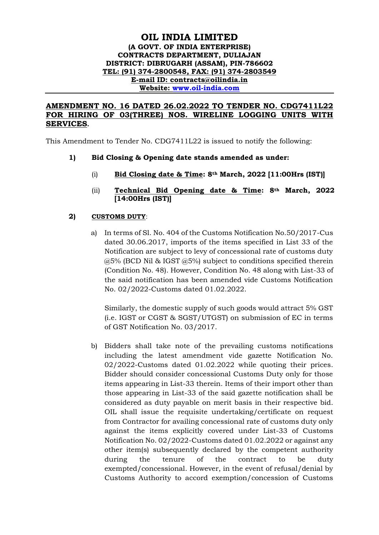## **OIL INDIA LIMITED (A GOVT. OF INDIA ENTERPRISE) CONTRACTS DEPARTMENT, DULIAJAN DISTRICT: DIBRUGARH (ASSAM), PIN-786602 TEL: (91) 374-2800548, FAX: (91) 374-2803549 E-mail ID: contracts@oilindia.in Website: [www.oil-india.com](http://www.oil-india.com/)**

## **AMENDMENT NO. 16 DATED 26.02.2022 TO TENDER NO. CDG7411L22 FOR HIRING OF 03(THREE) NOS. WIRELINE LOGGING UNITS WITH SERVICES.**

This Amendment to Tender No. CDG7411L22 is issued to notify the following:

- **1) Bid Closing & Opening date stands amended as under:**
	- (i) **Bid Closing date & Time: 8th March, 2022 [11:00Hrs (IST)]**
	- (ii) **Technical Bid Opening date & Time: 8th March, 2022 [14:00Hrs (IST)]**

## **2) CUSTOMS DUTY**:

a) In terms of Sl. No. 404 of the Customs Notification No.50/2017-Cus dated 30.06.2017, imports of the items specified in List 33 of the Notification are subject to levy of concessional rate of customs duty @5% (BCD Nil & IGST @5%) subject to conditions specified therein (Condition No. 48). However, Condition No. 48 along with List-33 of the said notification has been amended vide Customs Notification No. 02/2022-Customs dated 01.02.2022.

Similarly, the domestic supply of such goods would attract 5% GST (i.e. IGST or CGST & SGST/UTGST) on submission of EC in terms of GST Notification No. 03/2017.

b) Bidders shall take note of the prevailing customs notifications including the latest amendment vide gazette Notification No. 02/2022-Customs dated 01.02.2022 while quoting their prices. Bidder should consider concessional Customs Duty only for those items appearing in List-33 therein. Items of their import other than those appearing in List-33 of the said gazette notification shall be considered as duty payable on merit basis in their respective bid. OIL shall issue the requisite undertaking/certificate on request from Contractor for availing concessional rate of customs duty only against the items explicitly covered under List-33 of Customs Notification No. 02/2022-Customs dated 01.02.2022 or against any other item(s) subsequently declared by the competent authority during the tenure of the contract to be duty exempted/concessional. However, in the event of refusal/denial by Customs Authority to accord exemption/concession of Customs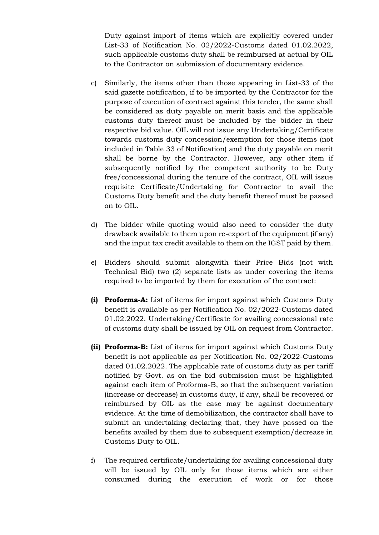Duty against import of items which are explicitly covered under List-33 of Notification No. 02/2022-Customs dated 01.02.2022, such applicable customs duty shall be reimbursed at actual by OIL to the Contractor on submission of documentary evidence.

- c) Similarly, the items other than those appearing in List-33 of the said gazette notification, if to be imported by the Contractor for the purpose of execution of contract against this tender, the same shall be considered as duty payable on merit basis and the applicable customs duty thereof must be included by the bidder in their respective bid value. OIL will not issue any Undertaking/Certificate towards customs duty concession/exemption for those items (not included in Table 33 of Notification) and the duty payable on merit shall be borne by the Contractor. However, any other item if subsequently notified by the competent authority to be Duty free/concessional during the tenure of the contract, OIL will issue requisite Certificate/Undertaking for Contractor to avail the Customs Duty benefit and the duty benefit thereof must be passed on to OIL.
- d) The bidder while quoting would also need to consider the duty drawback available to them upon re-export of the equipment (if any) and the input tax credit available to them on the IGST paid by them.
- e) Bidders should submit alongwith their Price Bids (not with Technical Bid) two (2) separate lists as under covering the items required to be imported by them for execution of the contract:
- **(i) Proforma-A:** List of items for import against which Customs Duty benefit is available as per Notification No. 02/2022-Customs dated 01.02.2022. Undertaking/Certificate for availing concessional rate of customs duty shall be issued by OIL on request from Contractor.
- **(ii) Proforma-B:** List of items for import against which Customs Duty benefit is not applicable as per Notification No. 02/2022-Customs dated 01.02.2022. The applicable rate of customs duty as per tariff notified by Govt. as on the bid submission must be highlighted against each item of Proforma-B, so that the subsequent variation (increase or decrease) in customs duty, if any, shall be recovered or reimbursed by OIL as the case may be against documentary evidence. At the time of demobilization, the contractor shall have to submit an undertaking declaring that, they have passed on the benefits availed by them due to subsequent exemption/decrease in Customs Duty to OIL.
- f) The required certificate/undertaking for availing concessional duty will be issued by OIL only for those items which are either consumed during the execution of work or for those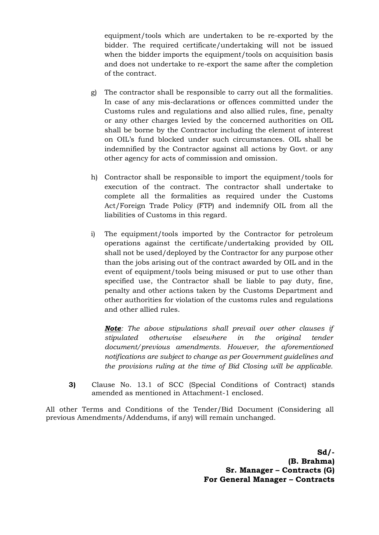equipment/tools which are undertaken to be re-exported by the bidder. The required certificate/undertaking will not be issued when the bidder imports the equipment/tools on acquisition basis and does not undertake to re-export the same after the completion of the contract.

- g) The contractor shall be responsible to carry out all the formalities. In case of any mis-declarations or offences committed under the Customs rules and regulations and also allied rules, fine, penalty or any other charges levied by the concerned authorities on OIL shall be borne by the Contractor including the element of interest on OIL's fund blocked under such circumstances. OIL shall be indemnified by the Contractor against all actions by Govt. or any other agency for acts of commission and omission.
- h) Contractor shall be responsible to import the equipment/tools for execution of the contract. The contractor shall undertake to complete all the formalities as required under the Customs Act/Foreign Trade Policy (FTP) and indemnify OIL from all the liabilities of Customs in this regard.
- i) The equipment/tools imported by the Contractor for petroleum operations against the certificate/undertaking provided by OIL shall not be used/deployed by the Contractor for any purpose other than the jobs arising out of the contract awarded by OIL and in the event of equipment/tools being misused or put to use other than specified use, the Contractor shall be liable to pay duty, fine, penalty and other actions taken by the Customs Department and other authorities for violation of the customs rules and regulations and other allied rules.

*Note: The above stipulations shall prevail over other clauses if stipulated otherwise elsewhere in the original tender document/previous amendments. However, the aforementioned notifications are subject to change as per Government guidelines and the provisions ruling at the time of Bid Closing will be applicable.*

**3)** Clause No. 13.1 of SCC (Special Conditions of Contract) stands amended as mentioned in Attachment-1 enclosed.

All other Terms and Conditions of the Tender/Bid Document (Considering all previous Amendments/Addendums, if any) will remain unchanged.

> **Sd/- (B. Brahma) Sr. Manager – Contracts (G) For General Manager – Contracts**